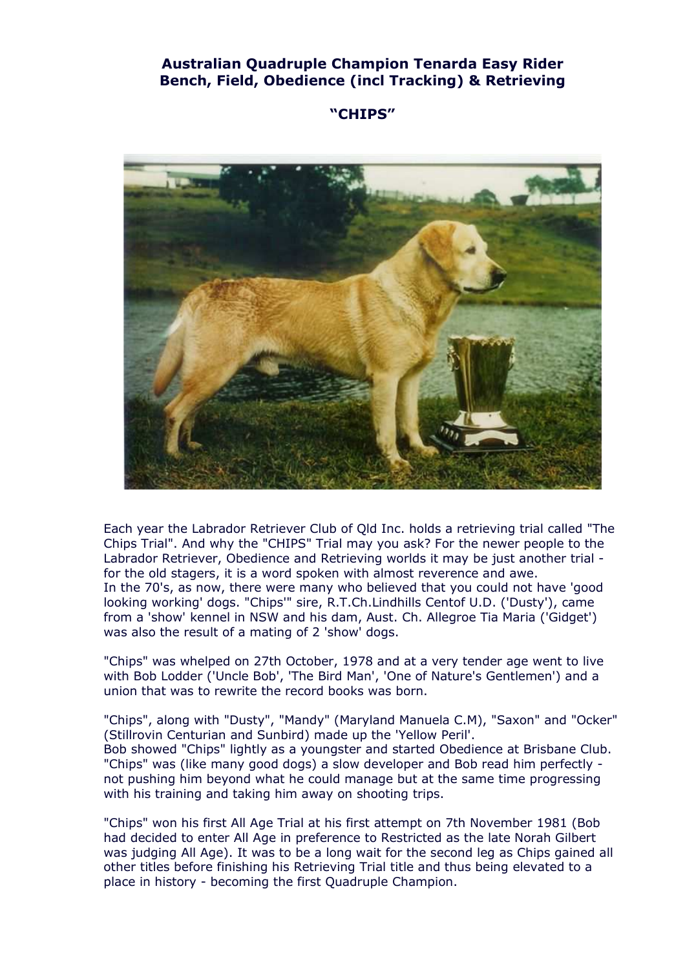# **Australian Quadruple Champion Tenarda Easy Rider Bench, Field, Obedience (incl Tracking) & Retrieving**

**"CHIPS"** 



Each year the Labrador Retriever Club of Qld Inc. holds a retrieving trial called "The Chips Trial". And why the "CHIPS" Trial may you ask? For the newer people to the Labrador Retriever, Obedience and Retrieving worlds it may be just another trial for the old stagers, it is a word spoken with almost reverence and awe. In the 70's, as now, there were many who believed that you could not have 'good looking working' dogs. "Chips'" sire, R.T.Ch.Lindhills Centof U.D. ('Dusty'), came from a 'show' kennel in NSW and his dam, Aust. Ch. Allegroe Tia Maria ('Gidget') was also the result of a mating of 2 'show' dogs.

"Chips" was whelped on 27th October, 1978 and at a very tender age went to live with Bob Lodder ('Uncle Bob', 'The Bird Man', 'One of Nature's Gentlemen') and a union that was to rewrite the record books was born.

"Chips", along with "Dusty", "Mandy" (Maryland Manuela C.M), "Saxon" and "Ocker" (Stillrovin Centurian and Sunbird) made up the 'Yellow Peril'. Bob showed "Chips" lightly as a youngster and started Obedience at Brisbane Club. "Chips" was (like many good dogs) a slow developer and Bob read him perfectly not pushing him beyond what he could manage but at the same time progressing with his training and taking him away on shooting trips.

"Chips" won his first All Age Trial at his first attempt on 7th November 1981 (Bob had decided to enter All Age in preference to Restricted as the late Norah Gilbert was judging All Age). It was to be a long wait for the second leg as Chips gained all other titles before finishing his Retrieving Trial title and thus being elevated to a place in history - becoming the first Quadruple Champion.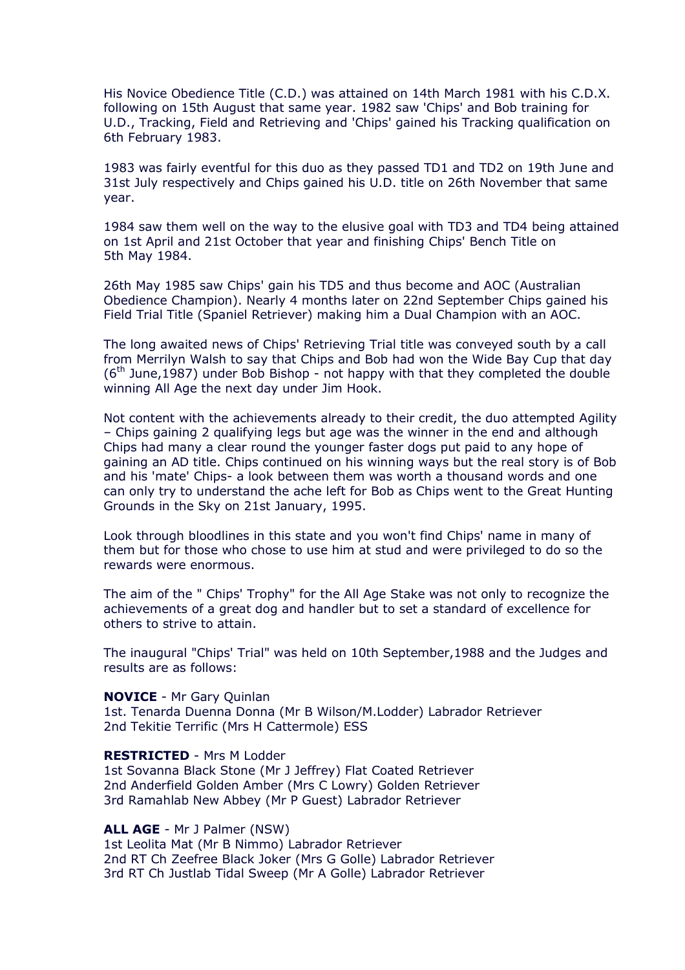His Novice Obedience Title (C.D.) was attained on 14th March 1981 with his C.D.X. following on 15th August that same year. 1982 saw 'Chips' and Bob training for U.D., Tracking, Field and Retrieving and 'Chips' gained his Tracking qualification on 6th February 1983.

1983 was fairly eventful for this duo as they passed TD1 and TD2 on 19th June and 31st July respectively and Chips gained his U.D. title on 26th November that same year.

1984 saw them well on the way to the elusive goal with TD3 and TD4 being attained on 1st April and 21st October that year and finishing Chips' Bench Title on 5th May 1984.

26th May 1985 saw Chips' gain his TD5 and thus become and AOC (Australian Obedience Champion). Nearly 4 months later on 22nd September Chips gained his Field Trial Title (Spaniel Retriever) making him a Dual Champion with an AOC.

The long awaited news of Chips' Retrieving Trial title was conveyed south by a call from Merrilyn Walsh to say that Chips and Bob had won the Wide Bay Cup that day  $(6<sup>th</sup>$  June, 1987) under Bob Bishop - not happy with that they completed the double winning All Age the next day under Jim Hook.

Not content with the achievements already to their credit, the duo attempted Agility – Chips gaining 2 qualifying legs but age was the winner in the end and although Chips had many a clear round the younger faster dogs put paid to any hope of gaining an AD title. Chips continued on his winning ways but the real story is of Bob and his 'mate' Chips- a look between them was worth a thousand words and one can only try to understand the ache left for Bob as Chips went to the Great Hunting Grounds in the Sky on 21st January, 1995.

Look through bloodlines in this state and you won't find Chips' name in many of them but for those who chose to use him at stud and were privileged to do so the rewards were enormous.

The aim of the " Chips' Trophy" for the All Age Stake was not only to recognize the achievements of a great dog and handler but to set a standard of excellence for others to strive to attain.

The inaugural "Chips' Trial" was held on 10th September,1988 and the Judges and results are as follows:

#### **NOVICE** - Mr Gary Quinlan

1st. Tenarda Duenna Donna (Mr B Wilson/M.Lodder) Labrador Retriever 2nd Tekitie Terrific (Mrs H Cattermole) ESS

#### **RESTRICTED** - Mrs M Lodder

1st Sovanna Black Stone (Mr J Jeffrey) Flat Coated Retriever 2nd Anderfield Golden Amber (Mrs C Lowry) Golden Retriever 3rd Ramahlab New Abbey (Mr P Guest) Labrador Retriever

## **ALL AGE** - Mr J Palmer (NSW)

1st Leolita Mat (Mr B Nimmo) Labrador Retriever 2nd RT Ch Zeefree Black Joker (Mrs G Golle) Labrador Retriever 3rd RT Ch Justlab Tidal Sweep (Mr A Golle) Labrador Retriever